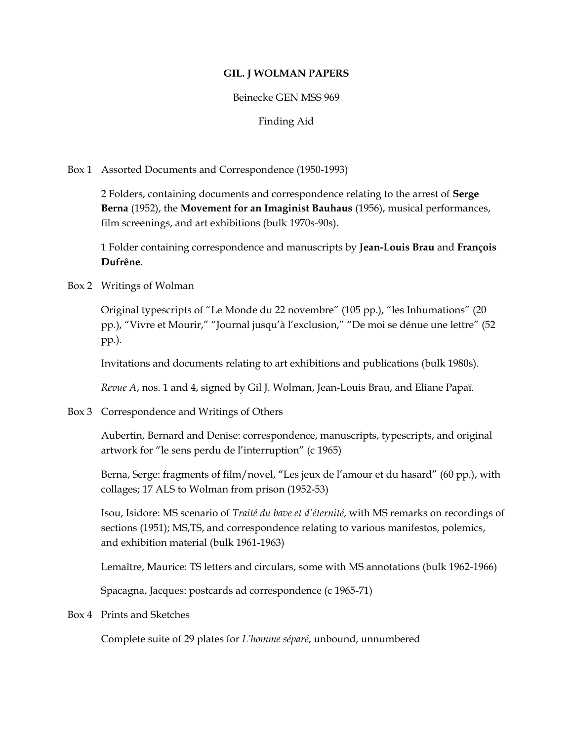## **GIL. J WOLMAN PAPERS**

## Beinecke GEN MSS 969

Finding Aid

Box 1 Assorted Documents and Correspondence (1950-1993)

2 Folders, containing documents and correspondence relating to the arrest of **Serge Berna** (1952), the **Movement for an Imaginist Bauhaus** (1956), musical performances, film screenings, and art exhibitions (bulk 1970s-90s).

1 Folder containing correspondence and manuscripts by **Jean-Louis Brau** and **François Dufrêne**.

Box 2 Writings of Wolman

Original typescripts of "Le Monde du 22 novembre" (105 pp.), "les Inhumations" (20 pp.), "Vivre et Mourir," "Journal jusqu'à l'exclusion," "De moi se dénue une lettre" (52 pp.).

Invitations and documents relating to art exhibitions and publications (bulk 1980s).

*Revue A*, nos. 1 and 4, signed by Gil J. Wolman, Jean-Louis Brau, and Eliane Papaï.

Box 3 Correspondence and Writings of Others

Aubertin, Bernard and Denise: correspondence, manuscripts, typescripts, and original artwork for "le sens perdu de l'interruption" (c 1965)

Berna, Serge: fragments of film/novel, "Les jeux de l'amour et du hasard" (60 pp.), with collages; 17 ALS to Wolman from prison (1952-53)

Isou, Isidore: MS scenario of *Traité du bave et d'éternité*, with MS remarks on recordings of sections (1951); MS,TS, and correspondence relating to various manifestos, polemics, and exhibition material (bulk 1961-1963)

Lemaître, Maurice: TS letters and circulars, some with MS annotations (bulk 1962-1966)

Spacagna, Jacques: postcards ad correspondence (c 1965-71)

Box 4 Prints and Sketches

Complete suite of 29 plates for *L'homme séparé*, unbound, unnumbered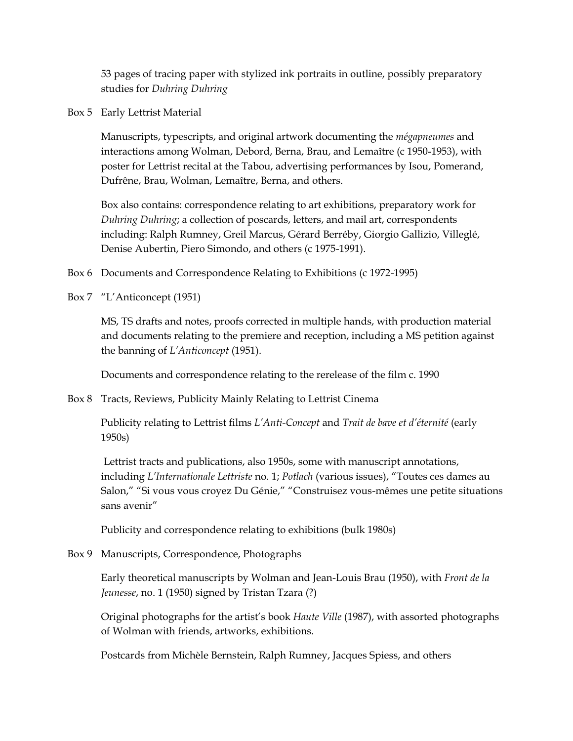53 pages of tracing paper with stylized ink portraits in outline, possibly preparatory studies for *Duhring Duhring*

Box 5 Early Lettrist Material

Manuscripts, typescripts, and original artwork documenting the *mégapneumes* and interactions among Wolman, Debord, Berna, Brau, and Lemaître (c 1950-1953), with poster for Lettrist recital at the Tabou, advertising performances by Isou, Pomerand, Dufrêne, Brau, Wolman, Lemaître, Berna, and others.

Box also contains: correspondence relating to art exhibitions, preparatory work for *Duhring Duhring*; a collection of poscards, letters, and mail art, correspondents including: Ralph Rumney, Greil Marcus, Gérard Berréby, Giorgio Gallizio, Villeglé, Denise Aubertin, Piero Simondo, and others (c 1975-1991).

- Box 6 Documents and Correspondence Relating to Exhibitions (c 1972-1995)
- Box 7 "L'Anticoncept (1951)

MS, TS drafts and notes, proofs corrected in multiple hands, with production material and documents relating to the premiere and reception, including a MS petition against the banning of *L'Anticoncept* (1951).

Documents and correspondence relating to the rerelease of the film c. 1990

Box 8 Tracts, Reviews, Publicity Mainly Relating to Lettrist Cinema

Publicity relating to Lettrist films *L'Anti-Concept* and *Trait de bave et d'éternité* (early 1950s)

Lettrist tracts and publications, also 1950s, some with manuscript annotations, including *L'Internationale Lettriste* no. 1; *Potlach* (various issues), "Toutes ces dames au Salon," "Si vous vous croyez Du Génie," "Construisez vous-mêmes une petite situations sans avenir"

Publicity and correspondence relating to exhibitions (bulk 1980s)

Box 9 Manuscripts, Correspondence, Photographs

Early theoretical manuscripts by Wolman and Jean-Louis Brau (1950), with *Front de la Jeunesse*, no. 1 (1950) signed by Tristan Tzara (?)

Original photographs for the artist's book *Haute Ville* (1987), with assorted photographs of Wolman with friends, artworks, exhibitions.

Postcards from Michèle Bernstein, Ralph Rumney, Jacques Spiess, and others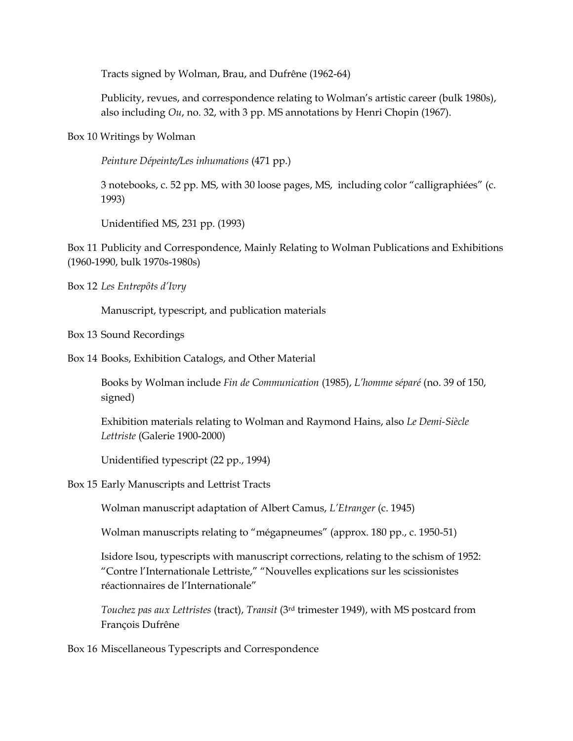Tracts signed by Wolman, Brau, and Dufrêne (1962-64)

Publicity, revues, and correspondence relating to Wolman's artistic career (bulk 1980s), also including *Ou*, no. 32, with 3 pp. MS annotations by Henri Chopin (1967).

Box 10 Writings by Wolman

*Peinture Dépeinte/Les inhumations* (471 pp.)

3 notebooks, c. 52 pp. MS, with 30 loose pages, MS, including color "calligraphiées" (c. 1993)

Unidentified MS, 231 pp. (1993)

Box 11 Publicity and Correspondence, Mainly Relating to Wolman Publications and Exhibitions (1960-1990, bulk 1970s-1980s)

Box 12 *Les Entrepôts d'Ivry*

Manuscript, typescript, and publication materials

Box 13 Sound Recordings

Box 14 Books, Exhibition Catalogs, and Other Material

Books by Wolman include *Fin de Communication* (1985), *L'homme séparé* (no. 39 of 150, signed)

Exhibition materials relating to Wolman and Raymond Hains, also *Le Demi-Siècle Lettriste* (Galerie 1900-2000)

Unidentified typescript (22 pp., 1994)

Box 15 Early Manuscripts and Lettrist Tracts

Wolman manuscript adaptation of Albert Camus, *L'Etranger* (c. 1945)

Wolman manuscripts relating to "mégapneumes" (approx. 180 pp., c. 1950-51)

Isidore Isou, typescripts with manuscript corrections, relating to the schism of 1952: "Contre l'Internationale Lettriste," "Nouvelles explications sur les scissionistes réactionnaires de l'Internationale"

*Touchez pas aux Lettristes* (tract), *Transit* (3rd trimester 1949), with MS postcard from François Dufrêne

Box 16 Miscellaneous Typescripts and Correspondence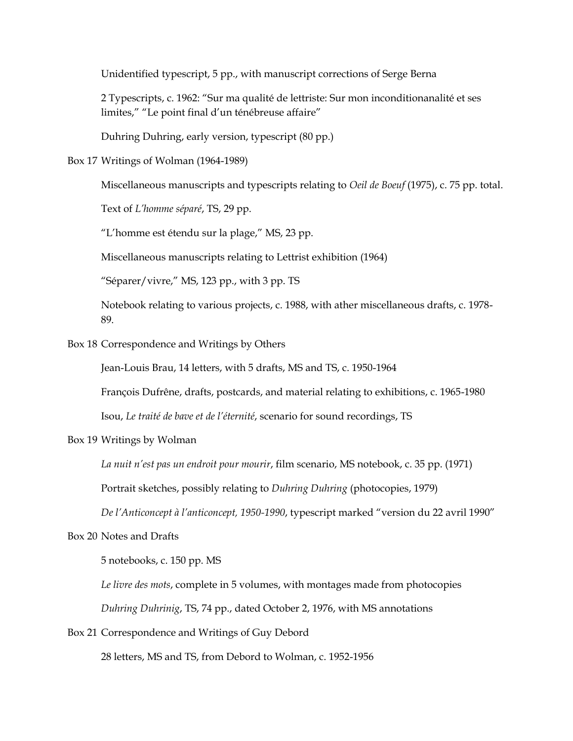Unidentified typescript, 5 pp., with manuscript corrections of Serge Berna

2 Typescripts, c. 1962: "Sur ma qualité de lettriste: Sur mon inconditionanalité et ses limites," "Le point final d'un ténébreuse affaire"

Duhring Duhring, early version, typescript (80 pp.)

Box 17 Writings of Wolman (1964-1989)

Miscellaneous manuscripts and typescripts relating to *Oeil de Boeuf* (1975), c. 75 pp. total.

Text of *L'homme séparé*, TS, 29 pp.

"L'homme est étendu sur la plage," MS, 23 pp.

Miscellaneous manuscripts relating to Lettrist exhibition (1964)

"Séparer/vivre," MS, 123 pp., with 3 pp. TS

Notebook relating to various projects, c. 1988, with ather miscellaneous drafts, c. 1978- 89.

Box 18 Correspondence and Writings by Others

Jean-Louis Brau, 14 letters, with 5 drafts, MS and TS, c. 1950-1964

François Dufrêne, drafts, postcards, and material relating to exhibitions, c. 1965-1980

Isou, *Le traité de bave et de l'éternité*, scenario for sound recordings, TS

Box 19 Writings by Wolman

*La nuit n'est pas un endroit pour mourir*, film scenario, MS notebook, c. 35 pp. (1971)

Portrait sketches, possibly relating to *Duhring Duhring* (photocopies, 1979)

*De l'Anticoncept à l'anticoncept, 1950-1990*, typescript marked "version du 22 avril 1990"

Box 20 Notes and Drafts

5 notebooks, c. 150 pp. MS

*Le livre des mots*, complete in 5 volumes, with montages made from photocopies

*Duhring Duhrinig*, TS, 74 pp., dated October 2, 1976, with MS annotations

Box 21 Correspondence and Writings of Guy Debord

28 letters, MS and TS, from Debord to Wolman, c. 1952-1956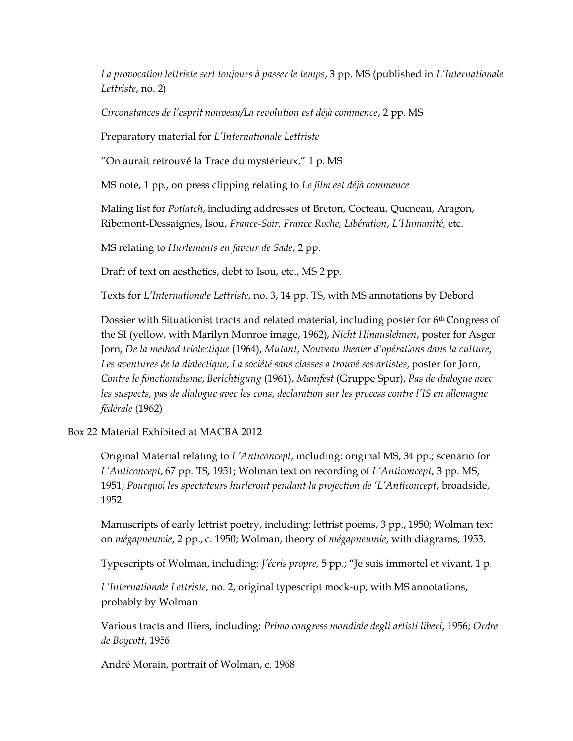*La provocation lettriste sert toujours à passer le temps*, 3 pp. MS (published in *L'Internationale Lettriste*, no. 2)

*Circonstances de l'esprit nouveau/La revolution est déjà commence*, 2 pp. MS

Preparatory material for *L'Internationale Lettriste*

"On aurait retrouvé la Trace du mystérieux," 1 p. MS

MS note, 1 pp., on press clipping relating to *Le film est déjà commence*

Maling list for *Potlatch*, including addresses of Breton, Cocteau, Queneau, Aragon, Ribemont-Dessaignes, Isou, *France-Soir, France Roche, Libération*, *L'Humanité,* etc.

MS relating to *Hurlements en faveur de Sade*, 2 pp.

Draft of text on aesthetics, debt to Isou, etc., MS 2 pp.

Texts for *L'Internationale Lettriste*, no. 3, 14 pp. TS, with MS annotations by Debord

Dossier with Situationist tracts and related material, including poster for 6th Congress of the SI (yellow, with Marilyn Monroe image, 1962), *Nicht Hinauslehnen*, poster for Asger Jorn, *De la method triolectique* (1964), *Mutant*, *Nouveau theater d'opérations dans la culture*, *Les aventures de la dialectique*, *La société sans classes a trouvé ses artistes*, poster for Jorn, *Contre le fonctionalisme*, *Berichtigung* (1961), *Manifest* (Gruppe Spur), *Pas de dialogue avec les suspects, pas de dialogue avec les cons*, *declaration sur les process contre l'IS en allemagne fédérale* (1962)

Box 22 Material Exhibited at MACBA 2012

Original Material relating to *L'Anticoncept*, including: original MS, 34 pp.; scenario for *L'Anticoncept*, 67 pp. TS, 1951; Wolman text on recording of *L'Anticoncept*, 3 pp. MS, 1951; *Pourquoi les spectateurs hurleront pendant la projection de 'L'Anticoncept*, broadside, 1952

Manuscripts of early lettrist poetry, including: lettrist poems, 3 pp., 1950; Wolman text on *mégapneumie*, 2 pp., c. 1950; Wolman, theory of *mégapneumie*, with diagrams, 1953.

Typescripts of Wolman, including: *J'écris propre,* 5 pp.; "Je suis immortel et vivant, 1 p.

*L'Internationale Lettriste*, no. 2, original typescript mock-up, with MS annotations, probably by Wolman

Various tracts and fliers, including: *Primo congress mondiale degli artisti liberi*, 1956; *Ordre de Boycott*, 1956

André Morain, portrait of Wolman, c. 1968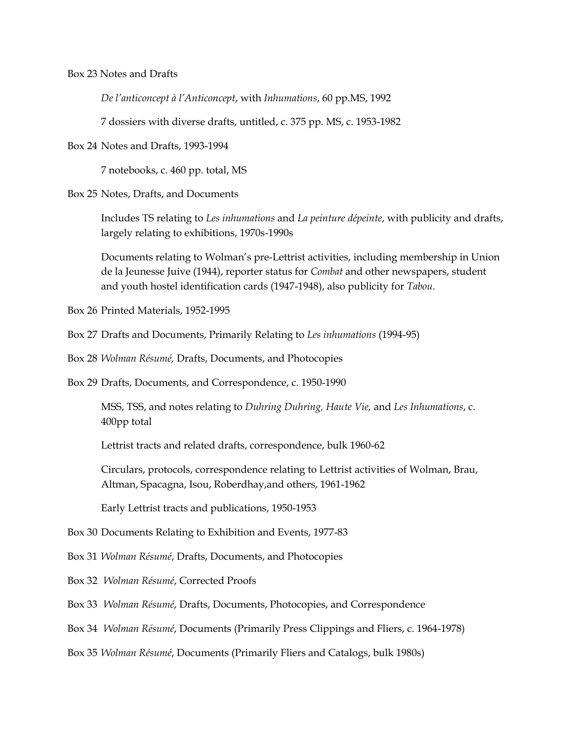Box 23 Notes and Drafts

*De l'anticoncept à l'Anticoncept*, with *Inhumations*, 60 pp.MS, 1992

7 dossiers with diverse drafts, untitled, c. 375 pp. MS, c. 1953-1982

Box 24 Notes and Drafts, 1993-1994

7 notebooks, c. 460 pp. total, MS

Box 25 Notes, Drafts, and Documents

Includes TS relating to *Les inhumations* and *La peinture dépeinte*, with publicity and drafts, largely relating to exhibitions, 1970s-1990s

Documents relating to Wolman's pre-Lettrist activities, including membership in Union de la Jeunesse Juive (1944), reporter status for *Combat* and other newspapers, student and youth hostel identification cards (1947-1948), also publicity for *Tabou*.

Box 26 Printed Materials, 1952-1995

Box 27 Drafts and Documents, Primarily Relating to *Les inhumations* (1994-95)

Box 28 *Wolman Résumé,* Drafts, Documents, and Photocopies

Box 29 Drafts, Documents, and Correspondence, c. 1950-1990

MSS, TSS, and notes relating to *Duhring Duhring, Haute Vie,* and *Les Inhumations*, c. 400pp total

Lettrist tracts and related drafts, correspondence, bulk 1960-62

Circulars, protocols, correspondence relating to Lettrist activities of Wolman, Brau, Altman, Spacagna, Isou, Roberdhay,and others, 1961-1962

Early Lettrist tracts and publications, 1950-1953

Box 30 Documents Relating to Exhibition and Events, 1977-83

Box 31 *Wolman Résumé*, Drafts, Documents, and Photocopies

Box 32 *Wolman Résumé*, Corrected Proofs

Box 33 *Wolman Résumé*, Drafts, Documents, Photocopies, and Correspondence

Box 34 *Wolman Résumé*, Documents (Primarily Press Clippings and Fliers, c. 1964-1978)

Box 35 *Wolman Résumé*, Documents (Primarily Fliers and Catalogs, bulk 1980s)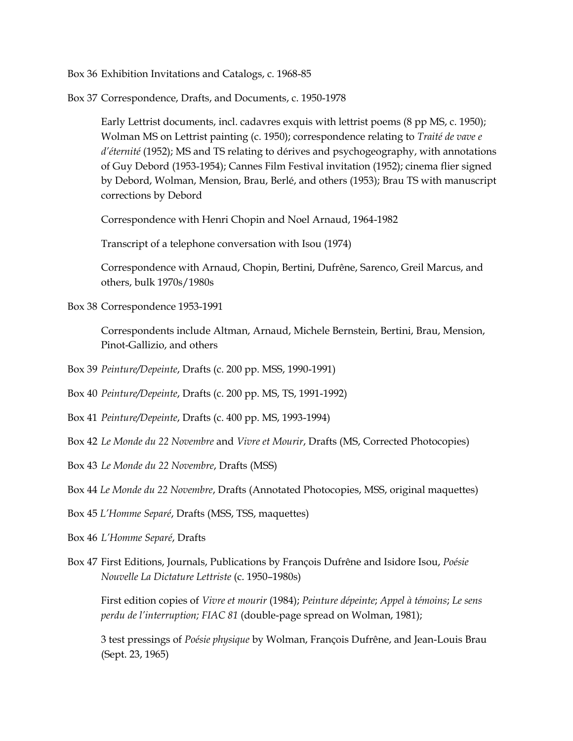Box 36 Exhibition Invitations and Catalogs, c. 1968-85

Box 37 Correspondence, Drafts, and Documents, c. 1950-1978

Early Lettrist documents, incl. cadavres exquis with lettrist poems (8 pp MS, c. 1950); Wolman MS on Lettrist painting (c. 1950); correspondence relating to *Traité de vave e d'éternité* (1952); MS and TS relating to dérives and psychogeography, with annotations of Guy Debord (1953-1954); Cannes Film Festival invitation (1952); cinema flier signed by Debord, Wolman, Mension, Brau, Berlé, and others (1953); Brau TS with manuscript corrections by Debord

Correspondence with Henri Chopin and Noel Arnaud, 1964-1982

Transcript of a telephone conversation with Isou (1974)

Correspondence with Arnaud, Chopin, Bertini, Dufrêne, Sarenco, Greil Marcus, and others, bulk 1970s/1980s

Box 38 Correspondence 1953-1991

Correspondents include Altman, Arnaud, Michele Bernstein, Bertini, Brau, Mension, Pinot-Gallizio, and others

Box 39 *Peinture/Depeinte*, Drafts (c. 200 pp. MSS, 1990-1991)

Box 40 *Peinture/Depeinte*, Drafts (c. 200 pp. MS, TS, 1991-1992)

- Box 41 *Peinture/Depeinte*, Drafts (c. 400 pp. MS, 1993-1994)
- Box 42 *Le Monde du 22 Novembre* and *Vivre et Mourir*, Drafts (MS, Corrected Photocopies)
- Box 43 *Le Monde du 22 Novembre*, Drafts (MSS)

Box 44 *Le Monde du 22 Novembre*, Drafts (Annotated Photocopies, MSS, original maquettes)

- Box 45 *L'Homme Separé*, Drafts (MSS, TSS, maquettes)
- Box 46 *L'Homme Separé*, Drafts
- Box 47 First Editions, Journals, Publications by François Dufrêne and Isidore Isou, *Poésie Nouvelle La Dictature Lettriste* (c. 1950–1980s)

First edition copies of *Vivre et mourir* (1984); *Peinture dépeinte*; *Appel à témoins*; *Le sens perdu de l'interruption; FIAC 81* (double-page spread on Wolman, 1981);

3 test pressings of *Poésie physique* by Wolman, François Dufrêne, and Jean-Louis Brau (Sept. 23, 1965)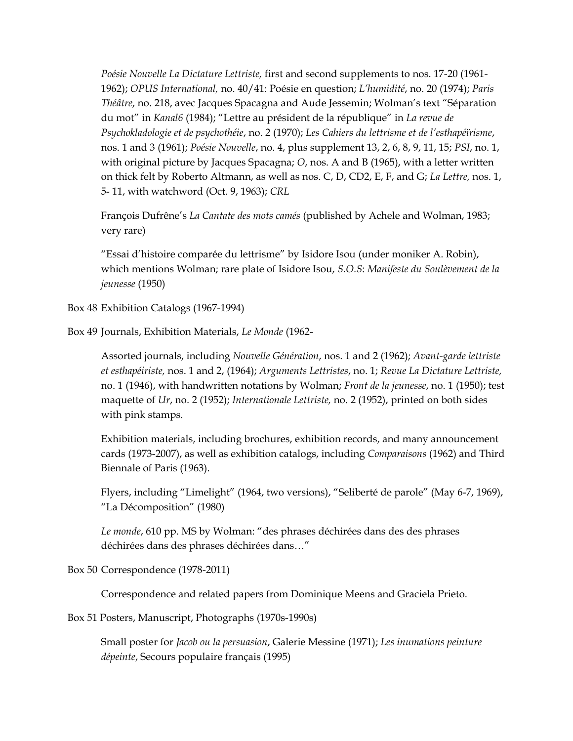*Poésie Nouvelle La Dictature Lettriste,* first and second supplements to nos. 17-20 (1961- 1962); *OPUS International,* no. 40/41: Poésie en question; *L'humidité*, no. 20 (1974); *Paris Théâtre*, no. 218, avec Jacques Spacagna and Aude Jessemin; Wolman's text "Séparation du mot" in *Kanal6* (1984); "Lettre au président de la république" in *La revue de Psychokladologie et de psychothéie*, no. 2 (1970); *Les Cahiers du lettrisme et de l'esthapéïrisme*, nos. 1 and 3 (1961); *Poésie Nouvelle*, no. 4, plus supplement 13, 2, 6, 8, 9, 11, 15; *PSI*, no. 1, with original picture by Jacques Spacagna; *O*, nos. A and B (1965), with a letter written on thick felt by Roberto Altmann, as well as nos. C, D, CD2, E, F, and G; *La Lettre,* nos. 1, 5- 11, with watchword (Oct. 9, 1963); *CRL*

François Dufrêne's *La Cantate des mots camés* (published by Achele and Wolman, 1983; very rare)

"Essai d'histoire comparée du lettrisme" by Isidore Isou (under moniker A. Robin), which mentions Wolman; rare plate of Isidore Isou, *S.O.S*: *Manifeste du Soulèvement de la jeunesse* (1950)

Box 48 Exhibition Catalogs (1967-1994)

Box 49 Journals, Exhibition Materials, *Le Monde* (1962-

Assorted journals, including *Nouvelle Génération*, nos. 1 and 2 (1962); *Avant-garde lettriste et esthapéiriste,* nos. 1 and 2, (1964); *Arguments Lettristes*, no. 1; *Revue La Dictature Lettriste,*  no. 1 (1946), with handwritten notations by Wolman; *Front de la jeunesse*, no. 1 (1950); test maquette of *Ur*, no. 2 (1952); *Internationale Lettriste,* no. 2 (1952), printed on both sides with pink stamps.

Exhibition materials, including brochures, exhibition records, and many announcement cards (1973-2007), as well as exhibition catalogs, including *Comparaisons* (1962) and Third Biennale of Paris (1963).

Flyers, including "Limelight" (1964, two versions), "Seliberté de parole" (May 6-7, 1969), "La Décomposition" (1980)

*Le monde*, 610 pp. MS by Wolman: "des phrases déchirées dans des des phrases déchirées dans des phrases déchirées dans…"

Box 50 Correspondence (1978-2011)

Correspondence and related papers from Dominique Meens and Graciela Prieto.

Box 51 Posters, Manuscript, Photographs (1970s-1990s)

Small poster for *Jacob ou la persuasion*, Galerie Messine (1971); *Les inumations peinture dépeinte*, Secours populaire français (1995)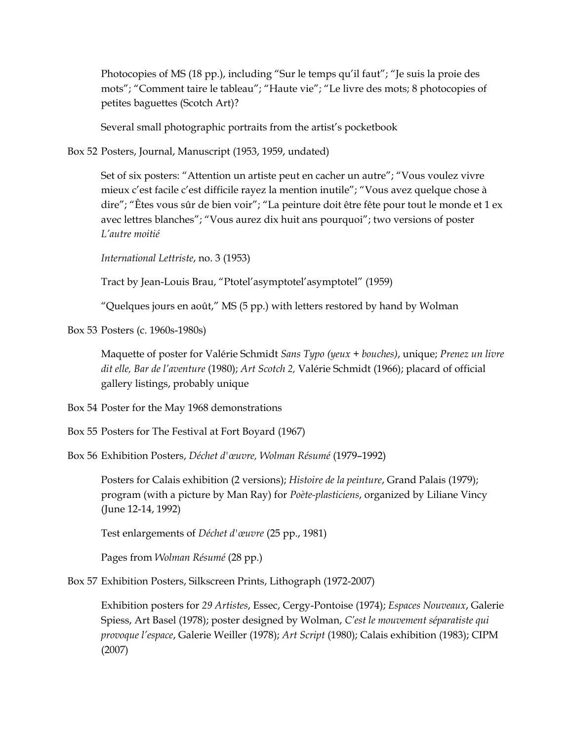Photocopies of MS (18 pp.), including "Sur le temps qu'il faut"; "Je suis la proie des mots"; "Comment taire le tableau"; "Haute vie"; "Le livre des mots; 8 photocopies of petites baguettes (Scotch Art)?

Several small photographic portraits from the artist's pocketbook

Box 52 Posters, Journal, Manuscript (1953, 1959, undated)

Set of six posters: "Attention un artiste peut en cacher un autre"; "Vous voulez vivre mieux c'est facile c'est difficile rayez la mention inutile"; "Vous avez quelque chose à dire"; "Êtes vous sûr de bien voir"; "La peinture doit être fête pour tout le monde et 1 ex avec lettres blanches"; "Vous aurez dix huit ans pourquoi"; two versions of poster *L'autre moitié*

*International Lettriste*, no. 3 (1953)

Tract by Jean-Louis Brau, "Ptotel'asymptotel'asymptotel" (1959)

"Quelques jours en août," MS (5 pp.) with letters restored by hand by Wolman

Box 53 Posters (c. 1960s-1980s)

Maquette of poster for Valérie Schmidt *Sans Typo (yeux + bouches)*, unique; *Prenez un livre dit elle, Bar de l'aventure* (1980); *Art Scotch 2,* Valérie Schmidt (1966); placard of official gallery listings, probably unique

Box 54 Poster for the May 1968 demonstrations

Box 55 Posters for The Festival at Fort Boyard (1967)

Box 56 Exhibition Posters, *Déchet d'œuvre, Wolman Résumé* (1979–1992)

Posters for Calais exhibition (2 versions); *Histoire de la peinture*, Grand Palais (1979); program (with a picture by Man Ray) for *Poète-plasticiens*, organized by Liliane Vincy (June 12-14, 1992)

Test enlargements of *Déchet d'œuvre* (25 pp., 1981)

Pages from *Wolman Résumé* (28 pp.)

Box 57 Exhibition Posters, Silkscreen Prints, Lithograph (1972-2007)

Exhibition posters for *29 Artistes*, Essec, Cergy-Pontoise (1974); *Espaces Nouveaux*, Galerie Spiess, Art Basel (1978); poster designed by Wolman, *C'est le mouvement séparatiste qui provoque l'espace*, Galerie Weiller (1978); *Art Script* (1980); Calais exhibition (1983); CIPM (2007)